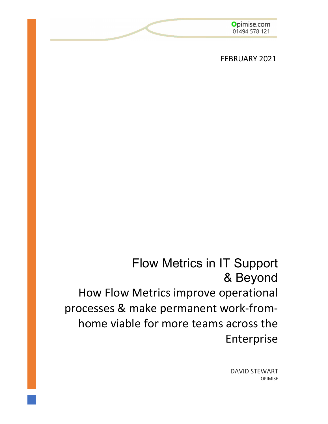

FEBRUARY 2021

Flow Metrics in IT Support & Beyond How Flow Metrics improve operational processes & make permanent work-fromhome viable for more teams across the Enterprise

> DAVID STEWART OPIMISE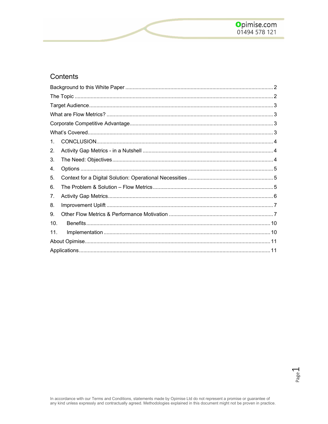# Contents

| $1_{-}$ |  |
|---------|--|
| 2.      |  |
| 3.      |  |
| 4.      |  |
| 5.      |  |
| 6.      |  |
| 7.      |  |
| 8.      |  |
| 9.      |  |
| 10.     |  |
| 11.     |  |
|         |  |
|         |  |

Page 1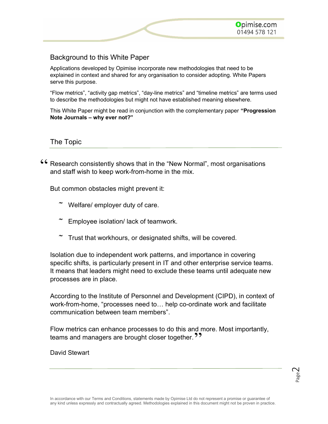### Background to this White Paper

Applications developed by Opimise incorporate new methodologies that need to be explained in context and shared for any organisation to consider adopting. White Papers serve this purpose.

"Flow metrics", "activity gap metrics", "day-line metrics" and "timeline metrics" are terms used to describe the methodologies but might not have established meaning elsewhere.

This White Paper might be read in conjunction with the complementary paper "Progression Note Journals – why ever not?"

#### The Topic

**46** Research consistently shows that in the "New Normal", most organisations and staff wish to keep work-from-home in the mix. and staff wish to keep work-from-home in the mix.

But common obstacles might prevent it:

- Welfare/ employer duty of care.
- $\tilde{\phantom{a}}$  Employee isolation/ lack of teamwork.
- ˜ Trust that workhours, or designated shifts, will be covered.

Isolation due to independent work patterns, and importance in covering specific shifts, is particularly present in IT and other enterprise service teams. It means that leaders might need to exclude these teams until adequate new processes are in place.

According to the Institute of Personnel and Development (CIPD), in context of work-from-home, "processes need to… help co-ordinate work and facilitate communication between team members".

Flow metrics can enhance processes to do this and more. Most importantly, teams and managers are brought closer together.<sup>99</sup>

David Stewart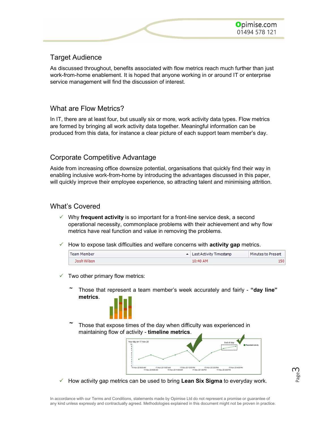### Target Audience

As discussed throughout, benefits associated with flow metrics reach much further than just work-from-home enablement. It is hoped that anyone working in or around IT or enterprise service management will find the discussion of interest.

### What are Flow Metrics?

In IT, there are at least four, but usually six or more, work activity data types. Flow metrics are formed by bringing all work activity data together. Meaningful information can be produced from this data, for instance a clear picture of each support team member's day.

### Corporate Competitive Advantage

Aside from increasing office downsize potential, organisations that quickly find their way in enabling inclusive work-from-home by introducing the advantages discussed in this paper, will quickly improve their employee experience, so attracting talent and minimising attrition.

#### What's Covered

- $\checkmark$  Why frequent activity is so important for a front-line service desk, a second operational necessity, commonplace problems with their achievement and why flow metrics have real function and value in removing the problems.
- $\checkmark$  How to expose task difficulties and welfare concerns with **activity gap** metrics.

| <b>Team Member</b> | - Last Activity Timestamp | Minutes to Present |
|--------------------|---------------------------|--------------------|
| Josh Wilson        | 10:40 AM                  | 150                |

- Two other primary flow metrics:
	- Those that represent a team member's week accurately and fairly "day line" metrics.



Those that expose times of the day when difficulty was experienced in maintaining flow of activity - timeline metrics.



 $\checkmark$  How activity gap metrics can be used to bring Lean Six Sigma to everyday work.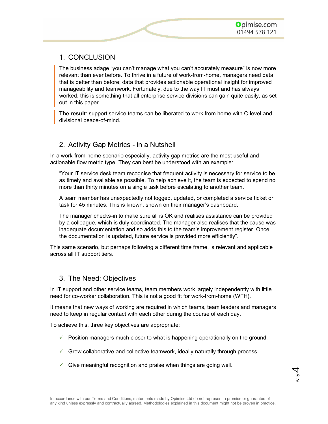## 1. CONCLUSION

The business adage "you can't manage what you can't accurately measure" is now more relevant than ever before. To thrive in a future of work-from-home, managers need data that is better than before; data that provides actionable operational insight for improved manageability and teamwork. Fortunately, due to the way IT must and has always worked, this is something that all enterprise service divisions can gain quite easily, as set out in this paper.

The result: support service teams can be liberated to work from home with C-level and divisional peace-of-mind.

### 2. Activity Gap Metrics - in a Nutshell

In a work-from-home scenario especially, activity gap metrics are the most useful and actionable flow metric type. They can best be understood with an example:

"Your IT service desk team recognise that frequent activity is necessary for service to be as timely and available as possible. To help achieve it, the team is expected to spend no more than thirty minutes on a single task before escalating to another team.

A team member has unexpectedly not logged, updated, or completed a service ticket or task for 45 minutes. This is known, shown on their manager's dashboard.

The manager checks-in to make sure all is OK and realises assistance can be provided by a colleague, which is duly coordinated. The manager also realises that the cause was inadequate documentation and so adds this to the team's improvement register. Once the documentation is updated, future service is provided more efficiently".

This same scenario, but perhaps following a different time frame, is relevant and applicable across all IT support tiers.

#### 3. The Need: Objectives

In IT support and other service teams, team members work largely independently with little need for co-worker collaboration. This is not a good fit for work-from-home (WFH).

It means that new ways of working are required in which teams, team leaders and managers need to keep in regular contact with each other during the course of each day.

To achieve this, three key objectives are appropriate:

- $\checkmark$  Position managers much closer to what is happening operationally on the ground.
- $\checkmark$  Grow collaborative and collective teamwork, ideally naturally through process.
- $\checkmark$  Give meaningful recognition and praise when things are going well.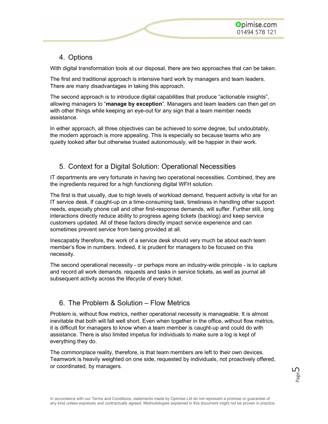## 4. Options

With digital transformation tools at our disposal, there are two approaches that can be taken.

The first and traditional approach is intensive hard work by managers and team leaders. There are many disadvantages in taking this approach.

The second approach is to introduce digital capabilities that produce "actionable insights", allowing managers to "manage by exception". Managers and team leaders can then get on with other things while keeping an eye-out for any sign that a team member needs assistance.

In either approach, all three objectives can be achieved to some degree, but undoubtably, the modern approach is more appealing. This is especially so because teams who are quietly looked after but otherwise trusted autonomously, will be happier in their work.

## 5. Context for a Digital Solution: Operational Necessities

IT departments are very fortunate in having two operational necessities. Combined, they are the ingredients required for a high functioning digital WFH solution.

The first is that usually, due to high levels of workload demand, frequent activity is vital for an IT service desk. If caught-up on a time-consuming task, timeliness in handling other support needs, especially phone call and other first-response demands, will suffer. Further still, long interactions directly reduce ability to progress ageing tickets (backlog) and keep service customers updated. All of these factors directly impact service experience and can sometimes prevent service from being provided at all.

Inescapably therefore, the work of a service desk should very much be about each team member's flow in numbers. Indeed, it is prudent for managers to be focused on this necessity.

The second operational necessity - or perhaps more an industry-wide principle - is to capture and record all work demands, requests and tasks in service tickets, as well as journal all subsequent activity across the lifecycle of every ticket.

### 6. The Problem & Solution – Flow Metrics

Problem is, without flow metrics, neither operational necessity is manageable. It is almost inevitable that both will fall well short. Even when together in the office, without flow metrics, it is difficult for managers to know when a team member is caught-up and could do with assistance. There is also limited impetus for individuals to make sure a log is kept of everything they do.

The commonplace reality, therefore, is that team members are left to their own devices. Teamwork is heavily weighted on one side, requested by individuals, not proactively offered, or coordinated, by managers.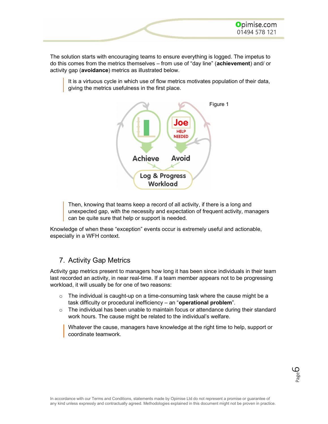The solution starts with encouraging teams to ensure everything is logged. The impetus to do this comes from the metrics themselves – from use of "day line" (achievement) and/ or activity gap (avoidance) metrics as illustrated below.

It is a virtuous cycle in which use of flow metrics motivates population of their data, giving the metrics usefulness in the first place.



Then, knowing that teams keep a record of all activity, if there is a long and unexpected gap, with the necessity and expectation of frequent activity, managers can be quite sure that help or support is needed.

Knowledge of when these "exception" events occur is extremely useful and actionable, especially in a WFH context.

## 7. Activity Gap Metrics

Activity gap metrics present to managers how long it has been since individuals in their team last recorded an activity, in near real-time. If a team member appears not to be progressing workload, it will usually be for one of two reasons:

- $\circ$  The individual is caught-up on a time-consuming task where the cause might be a task difficulty or procedural inefficiency – an "operational problem".
- $\circ$  The individual has been unable to maintain focus or attendance during their standard work hours. The cause might be related to the individual's welfare.

Whatever the cause, managers have knowledge at the right time to help, support or coordinate teamwork.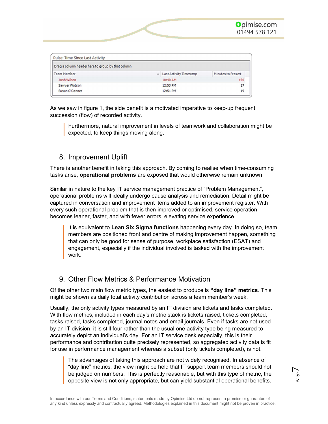

| Pulse: Time Since Last Activity                   |  |                           |                    |  |
|---------------------------------------------------|--|---------------------------|--------------------|--|
| Drag a column header here to group by that column |  |                           |                    |  |
| <b>Team Member</b>                                |  | - Last Activity Timestamp | Minutes to Present |  |
| Josh Wilson                                       |  | 10:40 AM                  | 150                |  |
| Sawyer Watson                                     |  | 12:53 PM                  | 17                 |  |
| Susan O'Conner                                    |  | 12:51 PM                  | 19                 |  |

As we saw in figure 1, the side benefit is a motivated imperative to keep-up frequent succession (flow) of recorded activity.

Furthermore, natural improvement in levels of teamwork and collaboration might be expected, to keep things moving along.

### 8. Improvement Uplift

There is another benefit in taking this approach. By coming to realise when time-consuming tasks arise, operational problems are exposed that would otherwise remain unknown.

Similar in nature to the key IT service management practice of "Problem Management", operational problems will ideally undergo cause analysis and remediation. Detail might be captured in conversation and improvement items added to an improvement register. With every such operational problem that is then improved or optimised, service operation becomes leaner, faster, and with fewer errors, elevating service experience.

It is equivalent to Lean Six Sigma functions happening every day. In doing so, team members are positioned front and centre of making improvement happen, something that can only be good for sense of purpose, workplace satisfaction (ESAT) and engagement, especially if the individual involved is tasked with the improvement work.

### 9. Other Flow Metrics & Performance Motivation

Of the other two main flow metric types, the easiest to produce is "day line" metrics. This might be shown as daily total activity contribution across a team member's week.

Usually, the only activity types measured by an IT division are tickets and tasks completed. With flow metrics, included in each day's metric stack is tickets raised, tickets completed, tasks raised, tasks completed, journal notes and email journals. Even if tasks are not used by an IT division, it is still four rather than the usual one activity type being measured to accurately depict an individual's day. For an IT service desk especially, this is their performance and contribution quite precisely represented, so aggregated activity data is fit for use in performance management whereas a subset (only tickets completed), is not.

any kind unless expressly and contractually agreed. Methodologies explained in this document might not be proven in practice.<br>An accordance with our Terms and Conditions, statements made by Opimise Ltd do not represent a p The advantages of taking this approach are not widely recognised. In absence of "day line" metrics, the view might be held that IT support team members should not be judged on numbers. This is perfectly reasonable, but with this type of metric, the opposite view is not only appropriate, but can yield substantial operational benefits.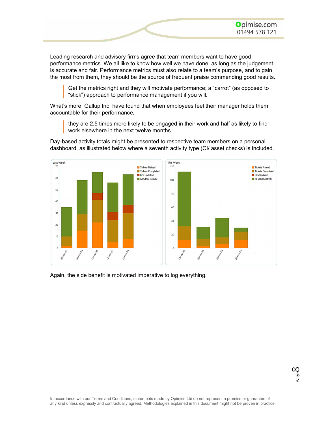Leading research and advisory firms agree that team members want to have good performance metrics. We all like to know how well we have done, as long as the judgement is accurate and fair. Performance metrics must also relate to a team's purpose, and to gain the most from them, they should be the source of frequent praise commending good results.

Get the metrics right and they will motivate performance; a "carrot" (as opposed to "stick") approach to performance management if you will.

What's more, Gallup Inc. have found that when employees feel their manager holds them accountable for their performance,

they are 2.5 times more likely to be engaged in their work and half as likely to find work elsewhere in the next twelve months.

Day-based activity totals might be presented to respective team members on a personal dashboard, as illustrated below where a seventh activity type (CI/ asset checks) is included.



Again, the side benefit is motivated imperative to log everything.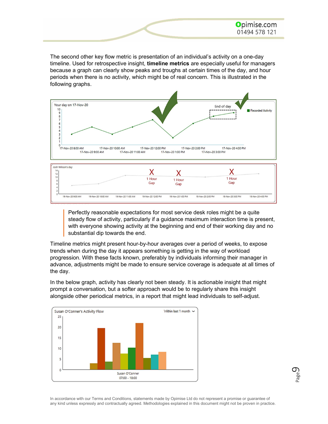The second other key flow metric is presentation of an individual's activity on a one-day timeline. Used for retrospective insight, timeline metrics are especially useful for managers because a graph can clearly show peaks and troughs at certain times of the day, and hour periods when there is no activity, which might be of real concern. This is illustrated in the following graphs.





Perfectly reasonable expectations for most service desk roles might be a quite steady flow of activity, particularly if a guidance maximum interaction time is present, with everyone showing activity at the beginning and end of their working day and no substantial dip towards the end.

Timeline metrics might present hour-by-hour averages over a period of weeks, to expose trends when during the day it appears something is getting in the way of workload progression. With these facts known, preferably by individuals informing their manager in advance, adjustments might be made to ensure service coverage is adequate at all times of the day.

In the below graph, activity has clearly not been steady. It is actionable insight that might prompt a conversation, but a softer approach would be to regularly share this insight alongside other periodical metrics, in a report that might lead individuals to self-adjust.

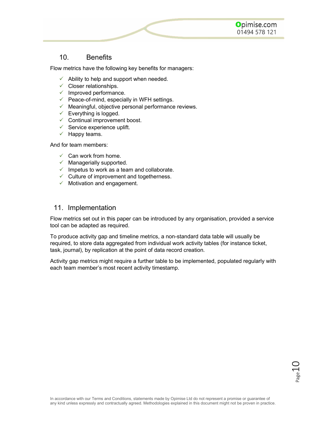

Flow metrics have the following key benefits for managers:

- $\checkmark$  Ability to help and support when needed.
- $\checkmark$  Closer relationships.
- $\checkmark$  Improved performance.
- $\checkmark$  Peace-of-mind, especially in WFH settings.
- $\checkmark$  Meaningful, objective personal performance reviews.
- $\checkmark$  Everything is logged.
- $\checkmark$  Continual improvement boost.
- $\checkmark$  Service experience uplift.
- $\checkmark$  Happy teams.

And for team members:

- $\checkmark$  Can work from home.
- $\checkmark$  Managerially supported.
- $\checkmark$  Impetus to work as a team and collaborate.
- $\checkmark$  Culture of improvement and togetherness.
- $\checkmark$  Motivation and engagement.

#### 11. Implementation

Flow metrics set out in this paper can be introduced by any organisation, provided a service tool can be adapted as required.

To produce activity gap and timeline metrics, a non-standard data table will usually be required, to store data aggregated from individual work activity tables (for instance ticket, task, journal), by replication at the point of data record creation.

Activity gap metrics might require a further table to be implemented, populated regularly with each team member's most recent activity timestamp.

Opimise.com 01494 578 121